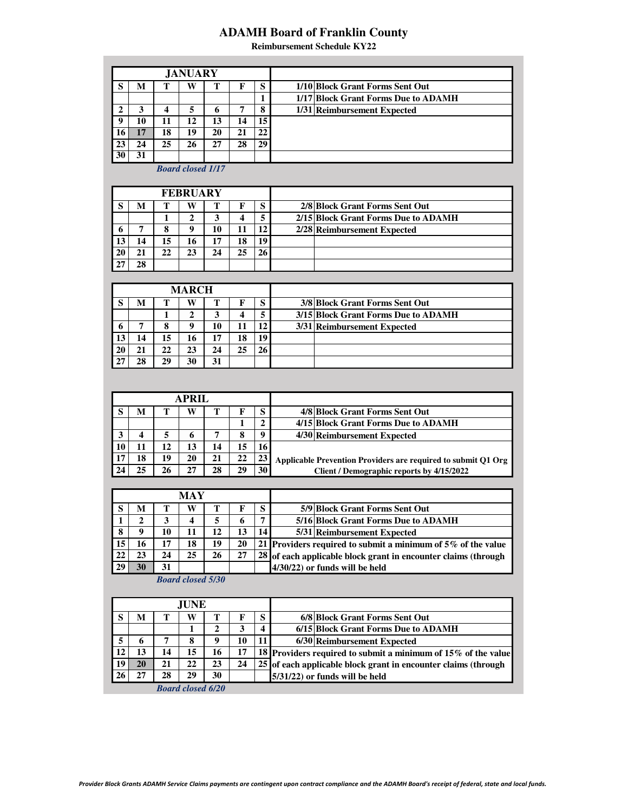## **ADAMH Board of Franklin County**

**Reimbursement Schedule KY22**

|    |    |    | <b>JANUARY</b> |              |    |    |                                     |
|----|----|----|----------------|--------------|----|----|-------------------------------------|
| c  | м  | т  | W              | m            | F  | S  | 1/10 Block Grant Forms Sent Out     |
|    |    |    |                |              |    |    | 1/17 Block Grant Forms Due to ADAMH |
|    |    |    |                | <sub>0</sub> | 7  | 8  | 1/31 Reimbursement Expected         |
| Q  | 10 | 11 | 12             | 13           | 14 | 15 |                                     |
|    | 88 | 18 | 19             | 20           | 21 | 22 |                                     |
| 23 | 24 | 25 | 26             | 27           | 28 | 29 |                                     |
|    |    |    |                |              |    |    |                                     |

*Board closed 1/17*

|    |    |    | <b>FEBRUARY</b> |    |    |    |                                     |
|----|----|----|-----------------|----|----|----|-------------------------------------|
|    | M  | m  | W               | m  |    | S  | 2/8 Block Grant Forms Sent Out      |
|    |    |    |                 |    |    |    | 2/15 Block Grant Forms Due to ADAMH |
| O  |    | Δ  |                 | 10 | 11 | 12 | 2/28 Reimbursement Expected         |
|    | 14 | 15 | 16              | 17 | 18 | 19 |                                     |
| 20 | 21 | 22 |                 | 24 | 25 | 26 |                                     |
|    | 28 |    |                 |    |    |    |                                     |

|    |    |    | <b>MARCH</b> |    |    |    |                                     |
|----|----|----|--------------|----|----|----|-------------------------------------|
| c  | м  | π  | W            |    | F  | S  | 3/8 Block Grant Forms Sent Out      |
|    |    |    |              |    | 4  | 5  | 3/15 Block Grant Forms Due to ADAMH |
| o  |    | 8  |              | 10 | 11 | 12 | 3/31 Reimbursement Expected         |
| 13 | 14 | 15 | 16           | 17 | 18 | 19 |                                     |
| 20 | 21 | 22 | 23           | 24 | 25 | 26 |                                     |
| 27 | 28 | 29 | 30           | 31 |    |    |                                     |

|    |    | <b>APRIL</b> |    |    |    |                                                               |
|----|----|--------------|----|----|----|---------------------------------------------------------------|
| M  | т  | W            |    | F  | S  | 4/8 Block Grant Forms Sent Out                                |
|    |    |              |    |    | 2  | 4/15 Block Grant Forms Due to ADAMH                           |
|    |    |              |    | 8  | 9  | 4/30 Reimbursement Expected                                   |
|    | 12 | 13           | 14 | 15 | 16 |                                                               |
| 18 | 19 | 20           | 21 | 22 | 23 | Applicable Prevention Providers are required to submit Q1 Org |
| 25 | 26 |              | 28 | 29 | 30 | Client / Demographic reports by 4/15/2022                     |

|    |    |    | MAY |    |    |    |                                                                 |
|----|----|----|-----|----|----|----|-----------------------------------------------------------------|
|    | м  |    | w   |    |    | S  | 5/9 Block Grant Forms Sent Out                                  |
|    | י  |    |     |    | h  | 7  | 5/16 Block Grant Forms Due to ADAMH                             |
|    | o  | 10 |     | 12 | 13 | 14 | 5/31 Reimbursement Expected                                     |
| 15 | 16 | 17 | 18  | 19 | 20 |    | 21 Providers required to submit a minimum of $5\%$ of the value |
|    | 23 | 24 | 25  | 26 | 27 |    | 28 of each applicable block grant in encounter claims (through  |
| 29 | m  | 31 |     |    |    |    | $4/30/22$ or funds will be held                                 |

*Board closed 5/30*

|     |    |    | <b>JUNE</b>       |    |    |                         |                                                                |
|-----|----|----|-------------------|----|----|-------------------------|----------------------------------------------------------------|
|     | м  |    | W                 |    | F  | S                       | 6/8 Block Grant Forms Sent Out                                 |
|     |    |    |                   |    | 3  | $\overline{\mathbf{4}}$ | 6/15 Block Grant Forms Due to ADAMH                            |
|     | 6  | 7  | Λ                 | 9  | 10 | 11                      | 6/30 Reimbursement Expected                                    |
| 12  | 13 | 14 | 15                | 16 | 17 |                         | 18 Providers required to submit a minimum of 15% of the value  |
| -19 | m  | 21 | 22                | 23 | 24 |                         | 25 of each applicable block grant in encounter claims (through |
| 26  | 27 | 28 | 29                | 30 |    |                         | $5/31/22$ ) or funds will be held                              |
|     |    |    | Roard closed 6/20 |    |    |                         |                                                                |

*Board closed 6/20*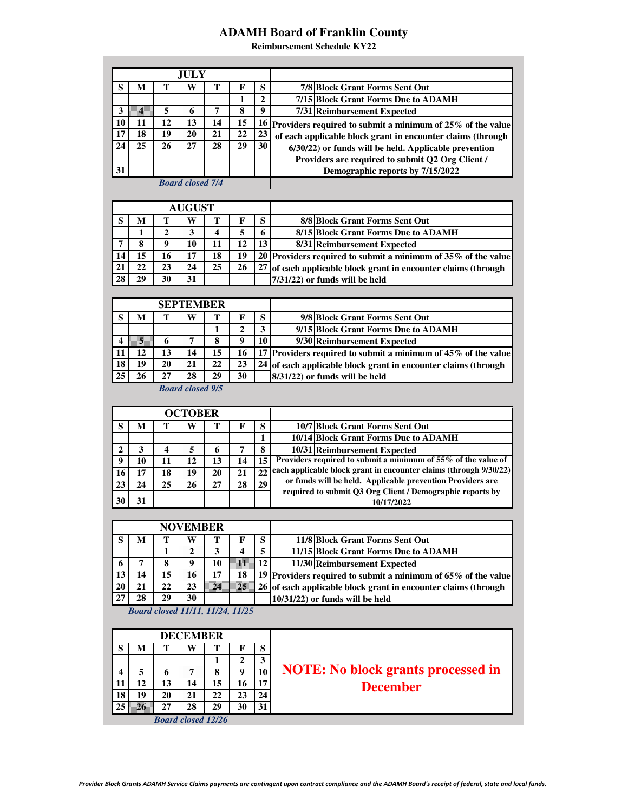## **ADAMH Board of Franklin County**

**Reimbursement Schedule KY22**

| W<br>S<br>т<br>т<br>S<br>М<br>F<br>7/8 Block Grant Forms Sent Out<br>7/15 Block Grant Forms Due to ADAMH<br>$\mathbf{2}$<br>1<br>$\boldsymbol{9}$<br>3<br>U<br>8<br>7/31 Reimbursement Expected<br>5<br>6<br>7<br>12<br>13<br>10<br>11<br>14<br>15<br>16<br>Providers required to submit a minimum of 25% of the value<br>17<br>18<br>19<br>20<br>21<br>22<br>23<br>of each applicable block grant in encounter claims (through<br>25<br>24<br>26<br>27<br>29<br>30<br>28<br>6/30/22) or funds will be held. Applicable prevention<br>Providers are required to submit Q2 Org Client / |  |
|----------------------------------------------------------------------------------------------------------------------------------------------------------------------------------------------------------------------------------------------------------------------------------------------------------------------------------------------------------------------------------------------------------------------------------------------------------------------------------------------------------------------------------------------------------------------------------------|--|
|                                                                                                                                                                                                                                                                                                                                                                                                                                                                                                                                                                                        |  |
|                                                                                                                                                                                                                                                                                                                                                                                                                                                                                                                                                                                        |  |
|                                                                                                                                                                                                                                                                                                                                                                                                                                                                                                                                                                                        |  |
|                                                                                                                                                                                                                                                                                                                                                                                                                                                                                                                                                                                        |  |
|                                                                                                                                                                                                                                                                                                                                                                                                                                                                                                                                                                                        |  |
|                                                                                                                                                                                                                                                                                                                                                                                                                                                                                                                                                                                        |  |
|                                                                                                                                                                                                                                                                                                                                                                                                                                                                                                                                                                                        |  |
| 31<br>Demographic reports by 7/15/2022                                                                                                                                                                                                                                                                                                                                                                                                                                                                                                                                                 |  |
| <b>Board closed 7/4</b>                                                                                                                                                                                                                                                                                                                                                                                                                                                                                                                                                                |  |
| <b>AUGUST</b>                                                                                                                                                                                                                                                                                                                                                                                                                                                                                                                                                                          |  |
| S<br>W<br>S<br>М<br>т<br>F<br>т                                                                                                                                                                                                                                                                                                                                                                                                                                                                                                                                                        |  |
| 8/8 Block Grant Forms Sent Out<br>5<br>3<br>4<br>6<br>8/15 Block Grant Forms Due to ADAMH<br>1<br>2                                                                                                                                                                                                                                                                                                                                                                                                                                                                                    |  |
| 8<br>9<br>10<br>11<br>12<br>13<br>7<br>8/31 Reimbursement Expected                                                                                                                                                                                                                                                                                                                                                                                                                                                                                                                     |  |
| 15<br>16<br>17<br>19<br>18<br>14<br>20<br>Providers required to submit a minimum of 35% of the value                                                                                                                                                                                                                                                                                                                                                                                                                                                                                   |  |
| 22<br>24<br>21<br>23<br>25<br>26<br>27<br>of each applicable block grant in encounter claims (through                                                                                                                                                                                                                                                                                                                                                                                                                                                                                  |  |
| 28<br>29<br>30<br>31<br>7/31/22) or funds will be held                                                                                                                                                                                                                                                                                                                                                                                                                                                                                                                                 |  |
|                                                                                                                                                                                                                                                                                                                                                                                                                                                                                                                                                                                        |  |
| <b>SEPTEMBER</b>                                                                                                                                                                                                                                                                                                                                                                                                                                                                                                                                                                       |  |
| 9/8 Block Grant Forms Sent Out<br>S<br>М<br>т<br>W<br>т<br>F<br>S                                                                                                                                                                                                                                                                                                                                                                                                                                                                                                                      |  |
| 3<br>$\overline{2}$<br>9/15 Block Grant Forms Due to ADAMH<br>1                                                                                                                                                                                                                                                                                                                                                                                                                                                                                                                        |  |
| X<br>7<br>9<br>10<br>4<br>6<br>8<br>9/30 Reimbursement Expected                                                                                                                                                                                                                                                                                                                                                                                                                                                                                                                        |  |
| 11<br>12<br>13<br>16<br>14<br>15<br>17<br>Providers required to submit a minimum of 45% of the value                                                                                                                                                                                                                                                                                                                                                                                                                                                                                   |  |
| 18<br>19<br>20<br>21<br>23<br>22<br>24<br>of each applicable block grant in encounter claims (through                                                                                                                                                                                                                                                                                                                                                                                                                                                                                  |  |
| 25<br>27<br>28<br>29<br>30<br>26<br>8/31/22) or funds will be held                                                                                                                                                                                                                                                                                                                                                                                                                                                                                                                     |  |
| <b>Board closed 9/5</b>                                                                                                                                                                                                                                                                                                                                                                                                                                                                                                                                                                |  |
|                                                                                                                                                                                                                                                                                                                                                                                                                                                                                                                                                                                        |  |
| <b>OCTOBER</b>                                                                                                                                                                                                                                                                                                                                                                                                                                                                                                                                                                         |  |
| S<br>W<br>10/7 Block Grant Forms Sent Out<br>М<br>т<br>T<br>F<br>S<br>$\mathbf{1}$                                                                                                                                                                                                                                                                                                                                                                                                                                                                                                     |  |
| 10/14 Block Grant Forms Due to ADAMH<br>8<br>$\mathbf{2}$<br>3<br>4<br>5<br>7                                                                                                                                                                                                                                                                                                                                                                                                                                                                                                          |  |
| 10/31 Reimbursement Expected<br>6<br>Providers required to submit a minimum of 55% of the value of<br>12<br>15<br>9<br>14<br>10<br>11<br>13                                                                                                                                                                                                                                                                                                                                                                                                                                            |  |
| each applicable block grant in encounter claims (through 9/30/22)<br>22<br>16<br>19<br>17<br>18<br>20<br>21                                                                                                                                                                                                                                                                                                                                                                                                                                                                            |  |
|                                                                                                                                                                                                                                                                                                                                                                                                                                                                                                                                                                                        |  |
| or funds will be held. Applicable prevention Providers are                                                                                                                                                                                                                                                                                                                                                                                                                                                                                                                             |  |
| 25<br>23<br>24<br>26<br>27<br>28<br>29<br>required to submit Q3 Org Client / Demographic reports by                                                                                                                                                                                                                                                                                                                                                                                                                                                                                    |  |
| 30<br>31<br>10/17/2022                                                                                                                                                                                                                                                                                                                                                                                                                                                                                                                                                                 |  |
|                                                                                                                                                                                                                                                                                                                                                                                                                                                                                                                                                                                        |  |
| <b>NOVEMBER</b>                                                                                                                                                                                                                                                                                                                                                                                                                                                                                                                                                                        |  |
| 11/8 Block Grant Forms Sent Out<br>S<br>М<br>т<br>W<br>т<br>S<br>F                                                                                                                                                                                                                                                                                                                                                                                                                                                                                                                     |  |
| $\overline{\mathbf{5}}$<br>3<br>11/15 Block Grant Forms Due to ADAMH<br>$\mathbf{2}$<br>4<br>1                                                                                                                                                                                                                                                                                                                                                                                                                                                                                         |  |
| 12<br>8<br>9<br>▒<br>7<br>10<br>6<br>11/30 Reimbursement Expected                                                                                                                                                                                                                                                                                                                                                                                                                                                                                                                      |  |
| 14<br>15<br>16<br>17<br>13<br>18<br>19<br>Providers required to submit a minimum of 65% of the value                                                                                                                                                                                                                                                                                                                                                                                                                                                                                   |  |
| W<br>20<br>21<br>22<br>23<br>W.<br>26<br>of each applicable block grant in encounter claims (through<br>30<br>27<br>28<br>29                                                                                                                                                                                                                                                                                                                                                                                                                                                           |  |
| $10/31/22$ ) or funds will be held<br>Board closed 11/11, 11/24, 11/25                                                                                                                                                                                                                                                                                                                                                                                                                                                                                                                 |  |
|                                                                                                                                                                                                                                                                                                                                                                                                                                                                                                                                                                                        |  |
| <b>DECEMBER</b>                                                                                                                                                                                                                                                                                                                                                                                                                                                                                                                                                                        |  |
| S<br>W<br>М<br>т<br>T<br>F<br>S                                                                                                                                                                                                                                                                                                                                                                                                                                                                                                                                                        |  |
| $\overline{2}$<br>3<br>1                                                                                                                                                                                                                                                                                                                                                                                                                                                                                                                                                               |  |
| <b>NOTE:</b> No block grants processed in<br>9<br>8<br>10<br>4<br>7<br>5<br>6                                                                                                                                                                                                                                                                                                                                                                                                                                                                                                          |  |
| 12<br>17<br>11<br>13<br>14<br>15<br>16                                                                                                                                                                                                                                                                                                                                                                                                                                                                                                                                                 |  |
| <b>December</b><br>18<br>19<br>20<br>21<br>22<br>23<br>24                                                                                                                                                                                                                                                                                                                                                                                                                                                                                                                              |  |
| 27<br>25<br>W<br>28<br>29<br>30<br>31<br><b>Board closed 12/26</b>                                                                                                                                                                                                                                                                                                                                                                                                                                                                                                                     |  |